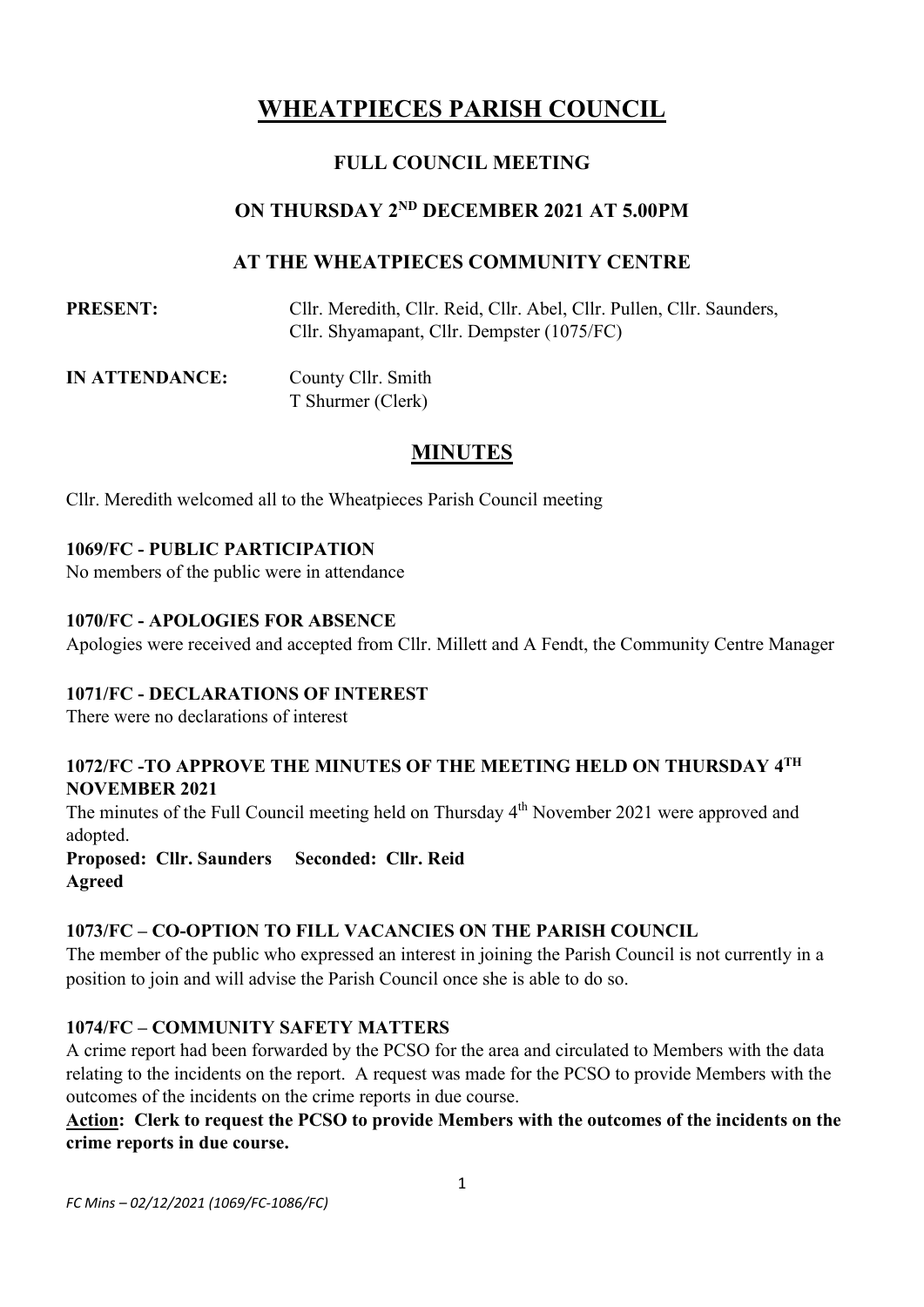# **WHEATPIECES PARISH COUNCIL**

# **FULL COUNCIL MEETING**

# **ON THURSDAY 2 ND DECEMBER 2021 AT 5.00PM**

# **AT THE WHEATPIECES COMMUNITY CENTRE**

**PRESENT:** Cllr. Meredith, Cllr. Reid, Cllr. Abel, Cllr. Pullen, Cllr. Saunders, Cllr. Shyamapant, Cllr. Dempster (1075/FC)

**IN ATTENDANCE:** County Cllr. Smith T Shurmer (Clerk)

# **MINUTES**

Cllr. Meredith welcomed all to the Wheatpieces Parish Council meeting

# **1069/FC - PUBLIC PARTICIPATION**

No members of the public were in attendance

### **1070/FC - APOLOGIES FOR ABSENCE**

Apologies were received and accepted from Cllr. Millett and A Fendt, the Community Centre Manager

#### **1071/FC - DECLARATIONS OF INTEREST**

There were no declarations of interest

### 1072/FC -TO APPROVE THE MINUTES OF THE MEETING HELD ON THURSDAY 4TH **NOVEMBER 2021**

The minutes of the Full Council meeting held on Thursday 4<sup>th</sup> November 2021 were approved and adopted.

**Proposed: Cllr. Saunders Seconded: Cllr. Reid Agreed**

#### **1073/FC – CO-OPTION TO FILL VACANCIES ON THE PARISH COUNCIL**

The member of the public who expressed an interest in joining the Parish Council is not currently in a position to join and will advise the Parish Council once she is able to do so.

#### **1074/FC – COMMUNITY SAFETY MATTERS**

A crime report had been forwarded by the PCSO for the area and circulated to Members with the data relating to the incidents on the report. A request was made for the PCSO to provide Members with the outcomes of the incidents on the crime reports in due course.

**Action: Clerk to request the PCSO to provide Members with the outcomes of the incidents on the crime reports in due course.**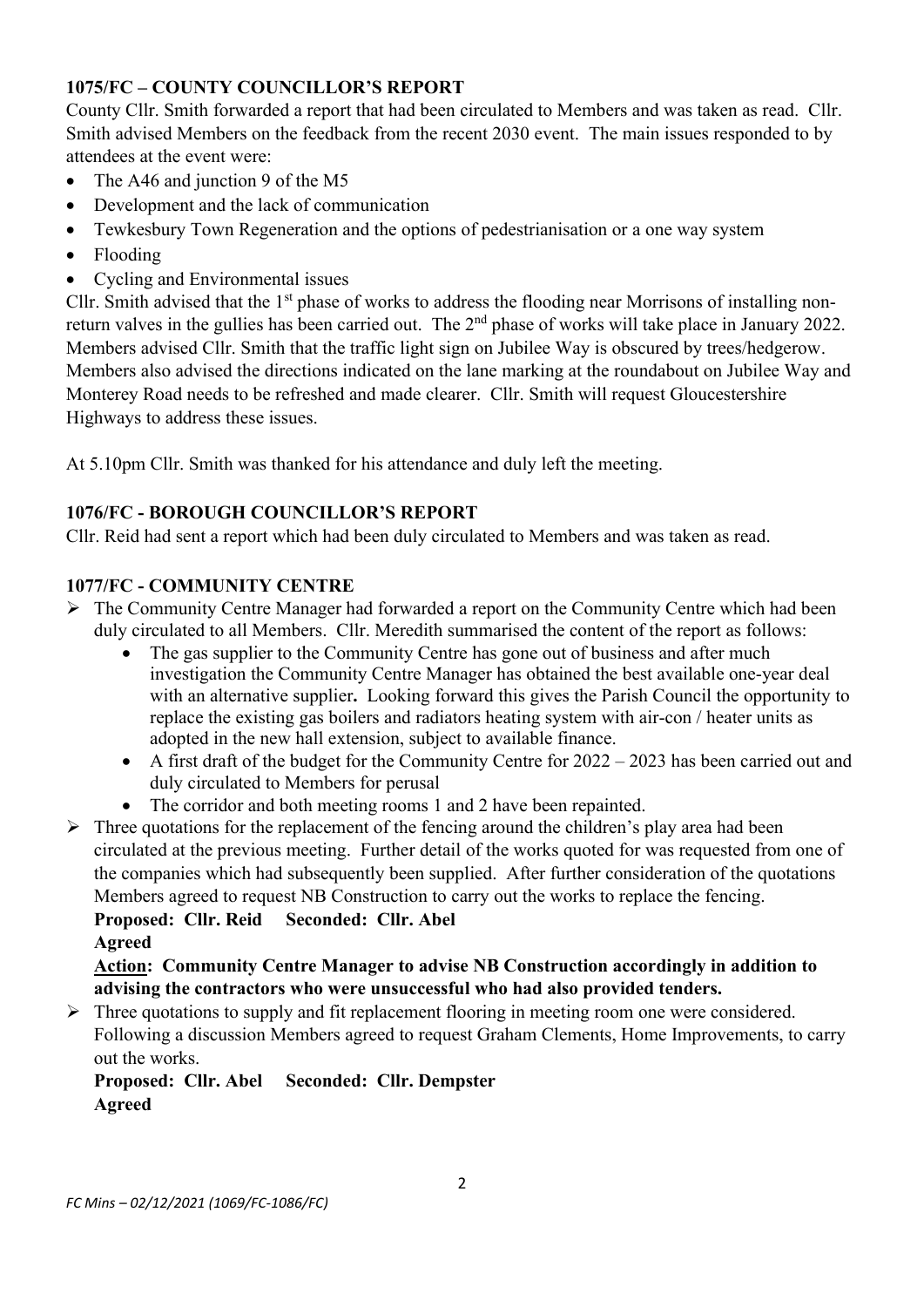# **1075/FC – COUNTY COUNCILLOR'S REPORT**

County Cllr. Smith forwarded a report that had been circulated to Members and was taken as read. Cllr. Smith advised Members on the feedback from the recent 2030 event. The main issues responded to by attendees at the event were:

- The A46 and junction 9 of the M5
- Development and the lack of communication
- Tewkesbury Town Regeneration and the options of pedestrianisation or a one way system
- Flooding
- Cycling and Environmental issues

Cllr. Smith advised that the 1<sup>st</sup> phase of works to address the flooding near Morrisons of installing nonreturn valves in the gullies has been carried out. The 2<sup>nd</sup> phase of works will take place in January 2022. Members advised Cllr. Smith that the traffic light sign on Jubilee Way is obscured by trees/hedgerow. Members also advised the directions indicated on the lane marking at the roundabout on Jubilee Way and Monterey Road needs to be refreshed and made clearer. Cllr. Smith will request Gloucestershire Highways to address these issues.

At 5.10pm Cllr. Smith was thanked for his attendance and duly left the meeting.

# **1076/FC - BOROUGH COUNCILLOR'S REPORT**

Cllr. Reid had sent a report which had been duly circulated to Members and was taken as read.

# **1077/FC - COMMUNITY CENTRE**

- $\triangleright$  The Community Centre Manager had forwarded a report on the Community Centre which had been duly circulated to all Members. Cllr. Meredith summarised the content of the report as follows:
	- The gas supplier to the Community Centre has gone out of business and after much investigation the Community Centre Manager has obtained the best available one-year deal with an alternative supplier**.** Looking forward this gives the Parish Council the opportunity to replace the existing gas boilers and radiators heating system with air-con / heater units as adopted in the new hall extension, subject to available finance.
	- A first draft of the budget for the Community Centre for  $2022 2023$  has been carried out and duly circulated to Members for perusal
	- The corridor and both meeting rooms 1 and 2 have been repainted.
- $\triangleright$  Three quotations for the replacement of the fencing around the children's play area had been circulated at the previous meeting. Further detail of the works quoted for was requested from one of the companies which had subsequently been supplied. After further consideration of the quotations Members agreed to request NB Construction to carry out the works to replace the fencing. **Proposed: Cllr. Reid Seconded: Cllr. Abel**

**Agreed**

# **Action: Community Centre Manager to advise NB Construction accordingly in addition to advising the contractors who were unsuccessful who had also provided tenders.**

➢ Three quotations to supply and fit replacement flooring in meeting room one were considered. Following a discussion Members agreed to request Graham Clements, Home Improvements, to carry out the works.

# **Proposed: Cllr. Abel Seconded: Cllr. Dempster Agreed**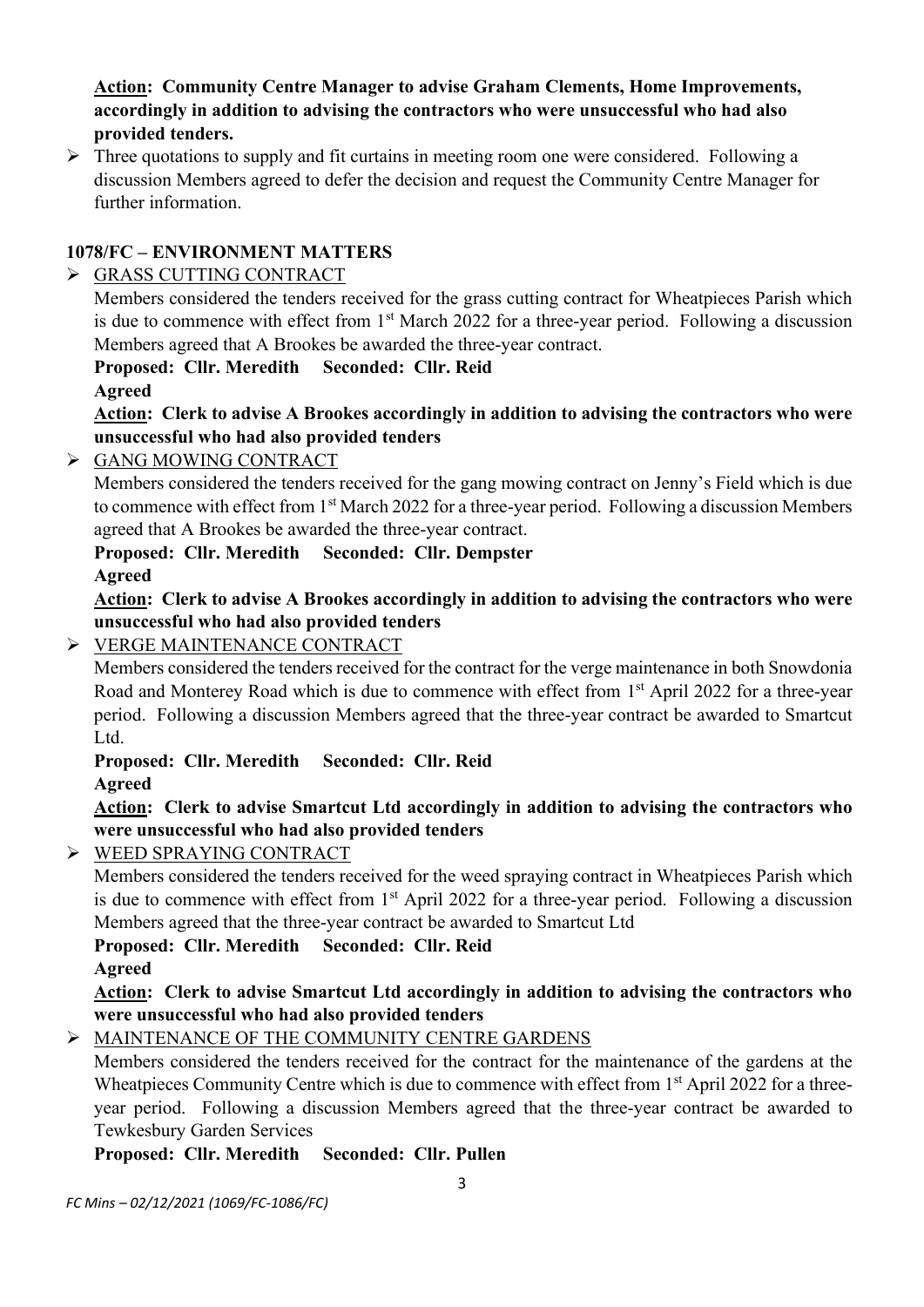**Action: Community Centre Manager to advise Graham Clements, Home Improvements, accordingly in addition to advising the contractors who were unsuccessful who had also provided tenders.**

➢ Three quotations to supply and fit curtains in meeting room one were considered. Following a discussion Members agreed to defer the decision and request the Community Centre Manager for further information.

### **1078/FC – ENVIRONMENT MATTERS**

➢ GRASS CUTTING CONTRACT

Members considered the tenders received for the grass cutting contract for Wheatpieces Parish which is due to commence with effect from 1<sup>st</sup> March 2022 for a three-year period. Following a discussion Members agreed that A Brookes be awarded the three-year contract.

**Proposed: Cllr. Meredith Seconded: Cllr. Reid Agreed**

**Action: Clerk to advise A Brookes accordingly in addition to advising the contractors who were unsuccessful who had also provided tenders**

### ➢ GANG MOWING CONTRACT

Members considered the tenders received for the gang mowing contract on Jenny's Field which is due to commence with effect from 1<sup>st</sup> March 2022 for a three-year period. Following a discussion Members agreed that A Brookes be awarded the three-year contract.

# **Proposed: Cllr. Meredith Seconded: Cllr. Dempster Agreed**

**Action: Clerk to advise A Brookes accordingly in addition to advising the contractors who were unsuccessful who had also provided tenders**

### ➢ VERGE MAINTENANCE CONTRACT

Members considered the tenders received for the contract for the verge maintenance in both Snowdonia Road and Monterey Road which is due to commence with effect from 1<sup>st</sup> April 2022 for a three-year period. Following a discussion Members agreed that the three-year contract be awarded to Smartcut Ltd.

#### **Proposed: Cllr. Meredith Seconded: Cllr. Reid Agreed**

**Action: Clerk to advise Smartcut Ltd accordingly in addition to advising the contractors who were unsuccessful who had also provided tenders**

➢ WEED SPRAYING CONTRACT

Members considered the tenders received for the weed spraying contract in Wheatpieces Parish which is due to commence with effect from 1<sup>st</sup> April 2022 for a three-year period. Following a discussion Members agreed that the three-year contract be awarded to Smartcut Ltd

# **Proposed: Cllr. Meredith Seconded: Cllr. Reid**

**Agreed**

### **Action: Clerk to advise Smartcut Ltd accordingly in addition to advising the contractors who were unsuccessful who had also provided tenders**

# ➢ MAINTENANCE OF THE COMMUNITY CENTRE GARDENS

Members considered the tenders received for the contract for the maintenance of the gardens at the Wheatpieces Community Centre which is due to commence with effect from 1<sup>st</sup> April 2022 for a threeyear period. Following a discussion Members agreed that the three-year contract be awarded to Tewkesbury Garden Services

# **Proposed: Cllr. Meredith Seconded: Cllr. Pullen**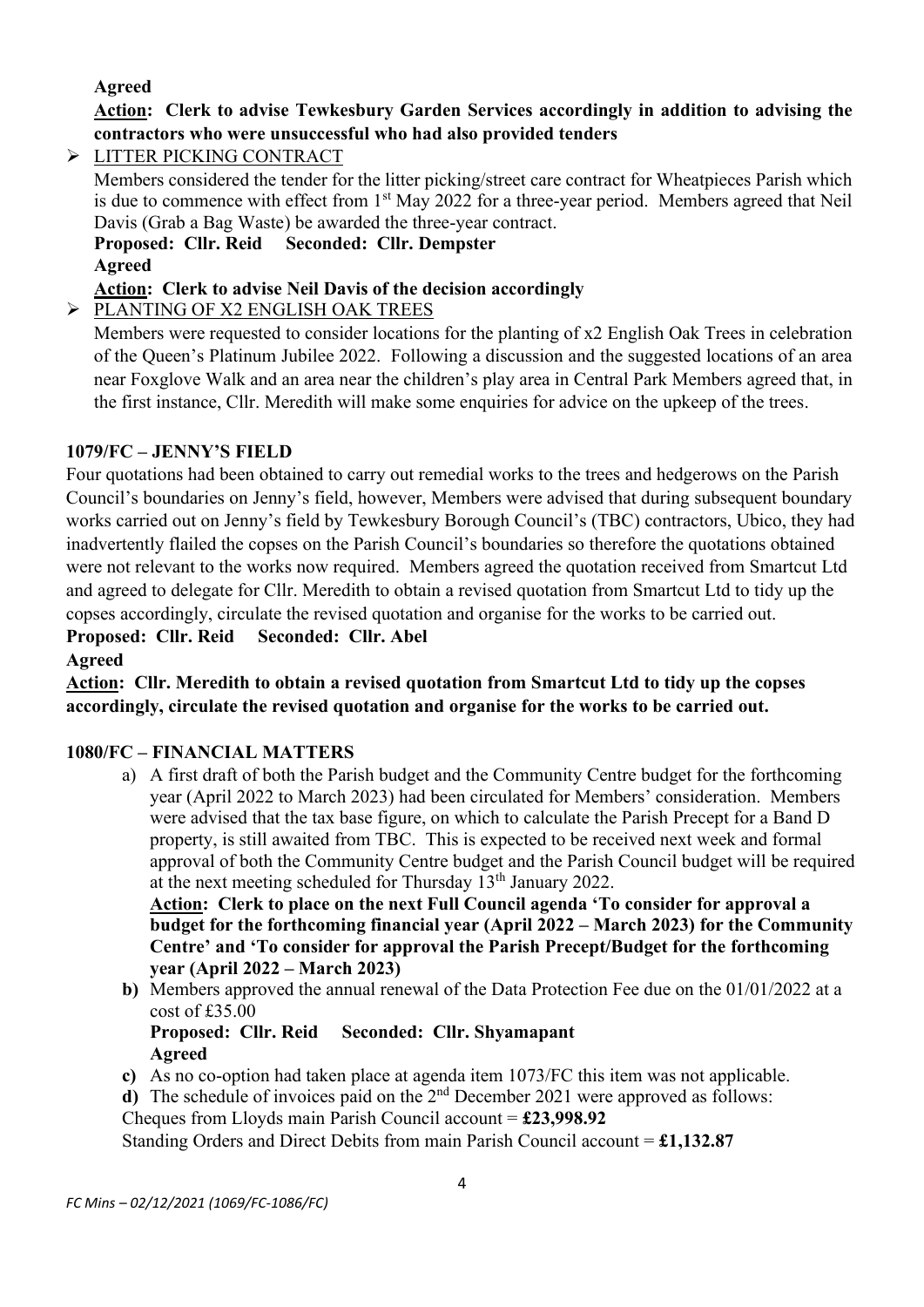# **Agreed**

# **Action: Clerk to advise Tewkesbury Garden Services accordingly in addition to advising the contractors who were unsuccessful who had also provided tenders**

➢ LITTER PICKING CONTRACT

Members considered the tender for the litter picking/street care contract for Wheatpieces Parish which is due to commence with effect from 1<sup>st</sup> May 2022 for a three-year period. Members agreed that Neil Davis (Grab a Bag Waste) be awarded the three-year contract.

**Proposed: Cllr. Reid Seconded: Cllr. Dempster Agreed**

### **Action: Clerk to advise Neil Davis of the decision accordingly**

➢ PLANTING OF X2 ENGLISH OAK TREES

Members were requested to consider locations for the planting of x2 English Oak Trees in celebration of the Queen's Platinum Jubilee 2022. Following a discussion and the suggested locations of an area near Foxglove Walk and an area near the children's play area in Central Park Members agreed that, in the first instance, Cllr. Meredith will make some enquiries for advice on the upkeep of the trees.

#### **1079/FC – JENNY'S FIELD**

Four quotations had been obtained to carry out remedial works to the trees and hedgerows on the Parish Council's boundaries on Jenny's field, however, Members were advised that during subsequent boundary works carried out on Jenny's field by Tewkesbury Borough Council's (TBC) contractors, Ubico, they had inadvertently flailed the copses on the Parish Council's boundaries so therefore the quotations obtained were not relevant to the works now required. Members agreed the quotation received from Smartcut Ltd and agreed to delegate for Cllr. Meredith to obtain a revised quotation from Smartcut Ltd to tidy up the copses accordingly, circulate the revised quotation and organise for the works to be carried out.

**Proposed: Cllr. Reid Seconded: Cllr. Abel Agreed**

**Action: Cllr. Meredith to obtain a revised quotation from Smartcut Ltd to tidy up the copses accordingly, circulate the revised quotation and organise for the works to be carried out.**

#### **1080/FC – FINANCIAL MATTERS**

a) A first draft of both the Parish budget and the Community Centre budget for the forthcoming year (April 2022 to March 2023) had been circulated for Members' consideration. Members were advised that the tax base figure, on which to calculate the Parish Precept for a Band D property, is still awaited from TBC. This is expected to be received next week and formal approval of both the Community Centre budget and the Parish Council budget will be required at the next meeting scheduled for Thursday 13th January 2022.

**Action: Clerk to place on the next Full Council agenda 'To consider for approval a budget for the forthcoming financial year (April 2022 – March 2023) for the Community Centre' and 'To consider for approval the Parish Precept/Budget for the forthcoming year (April 2022 – March 2023)**

**b)** Members approved the annual renewal of the Data Protection Fee due on the 01/01/2022 at a cost of £35.00

#### **Proposed: Cllr. Reid Seconded: Cllr. Shyamapant Agreed**

- **c)** As no co-option had taken place at agenda item 1073/FC this item was not applicable.
- **d**) The schedule of invoices paid on the  $2<sup>nd</sup>$  December 2021 were approved as follows:

Cheques from Lloyds main Parish Council account = **£23,998.92**

Standing Orders and Direct Debits from main Parish Council account = **£1,132.87**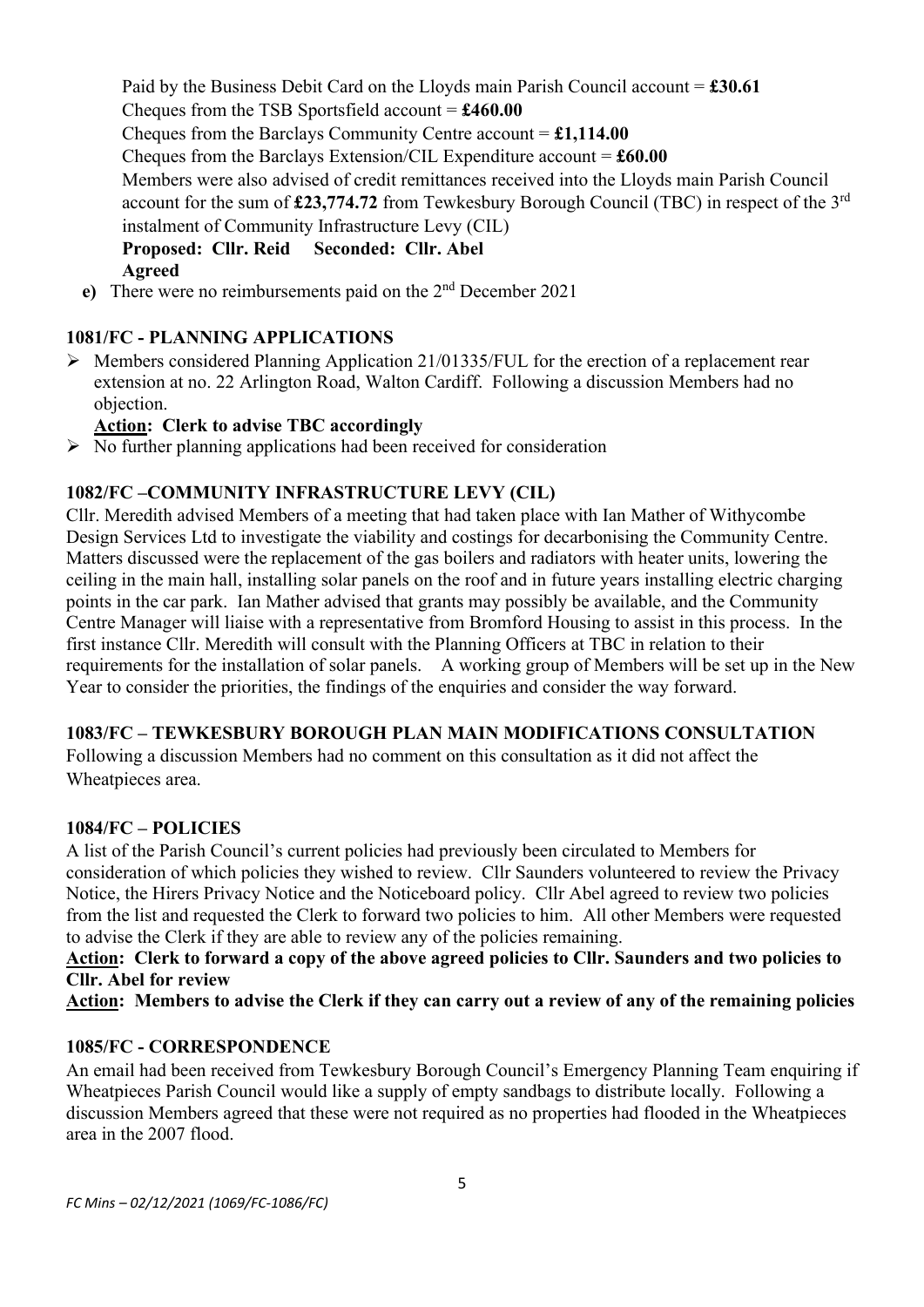Paid by the Business Debit Card on the Lloyds main Parish Council account = **£30.61** Cheques from the TSB Sportsfield account = **£460.00** Cheques from the Barclays Community Centre account = **£1,114.00** Cheques from the Barclays Extension/CIL Expenditure account = **£60.00** Members were also advised of credit remittances received into the Lloyds main Parish Council account for the sum of **£23,774.72** from Tewkesbury Borough Council (TBC) in respect of the 3rd instalment of Community Infrastructure Levy (CIL) **Proposed: Cllr. Reid Seconded: Cllr. Abel Agreed**

**e)** There were no reimbursements paid on the  $2<sup>nd</sup>$  December 2021

#### **1081/FC - PLANNING APPLICATIONS**

➢ Members considered Planning Application 21/01335/FUL for the erection of a replacement rear extension at no. 22 Arlington Road, Walton Cardiff. Following a discussion Members had no objection.

#### **Action: Clerk to advise TBC accordingly**

 $\triangleright$  No further planning applications had been received for consideration

#### **1082/FC –COMMUNITY INFRASTRUCTURE LEVY (CIL)**

Cllr. Meredith advised Members of a meeting that had taken place with Ian Mather of Withycombe Design Services Ltd to investigate the viability and costings for decarbonising the Community Centre. Matters discussed were the replacement of the gas boilers and radiators with heater units, lowering the ceiling in the main hall, installing solar panels on the roof and in future years installing electric charging points in the car park. Ian Mather advised that grants may possibly be available, and the Community Centre Manager will liaise with a representative from Bromford Housing to assist in this process. In the first instance Cllr. Meredith will consult with the Planning Officers at TBC in relation to their requirements for the installation of solar panels. A working group of Members will be set up in the New Year to consider the priorities, the findings of the enquiries and consider the way forward.

#### **1083/FC – TEWKESBURY BOROUGH PLAN MAIN MODIFICATIONS CONSULTATION**

Following a discussion Members had no comment on this consultation as it did not affect the Wheatpieces area.

#### **1084/FC – POLICIES**

A list of the Parish Council's current policies had previously been circulated to Members for consideration of which policies they wished to review. Cllr Saunders volunteered to review the Privacy Notice, the Hirers Privacy Notice and the Noticeboard policy. Cllr Abel agreed to review two policies from the list and requested the Clerk to forward two policies to him. All other Members were requested to advise the Clerk if they are able to review any of the policies remaining.

### Action: Clerk to forward a copy of the above agreed policies to Cllr. Saunders and two policies to **Cllr. Abel for review**

**Action: Members to advise the Clerk if they can carry out a review of any of the remaining policies**

#### **1085/FC - CORRESPONDENCE**

An email had been received from Tewkesbury Borough Council's Emergency Planning Team enquiring if Wheatpieces Parish Council would like a supply of empty sandbags to distribute locally. Following a discussion Members agreed that these were not required as no properties had flooded in the Wheatpieces area in the 2007 flood.